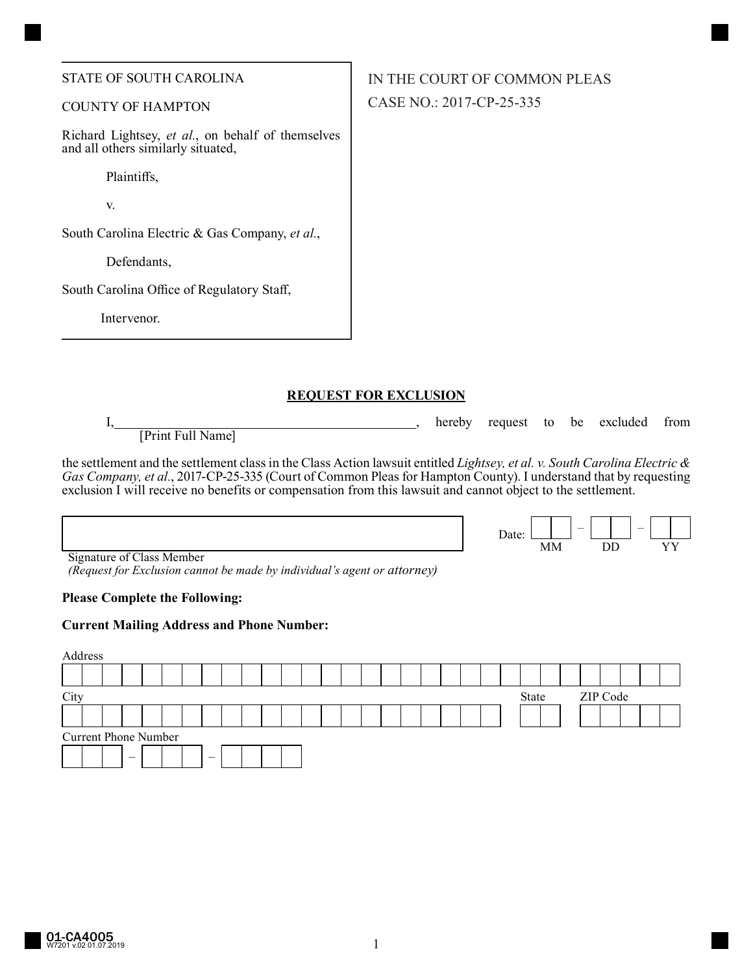#### STATE OF SOUTH CAROLINA

## COUNTY OF HAMPTON

Richard Lightsey, *et al.*, on behalf of themselves and all others similarly situated,

Plaintiffs,

v.

South Carolina Electric & Gas Company, *et al.*,

Defendants,

South Carolina Office of Regulatory Staff,

Intervenor.

### **REQUEST FOR EXCLUSION**

I, hereby request to be excluded from [Print Full Name]

the settlement and the settlement class in the Class Action lawsuit entitled *Lightsey, et al. v. South Carolina Electric & Gas Company, et al.*, 2017-CP-25-335 (Court of Common Pleas for Hampton County). I understand that by requesting exclusion I will receive no benefits or compensation from this lawsuit and cannot object to the settlement.

| <b>Signature of Class Member</b> |  |
|----------------------------------|--|

*(Request for Exclusion cannot be made by individual's agent or attorney)*

### **Please Complete the Following:**

### **Current Mailing Address and Phone Number:**



IN THE COURT OF COMMON PLEAS CASE NO.: 2017-CP-25-335

| $\mathbf{Date}$ |  |  |  |  |
|-----------------|--|--|--|--|
|                 |  |  |  |  |